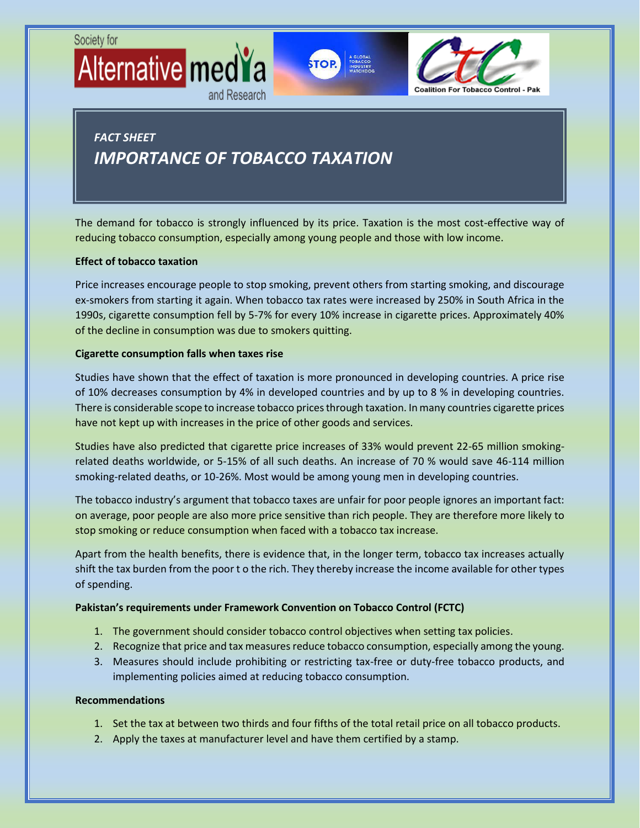



# *FACT SHEET IMPORTANCE OF TOBACCO TAXATION*

and Research

The demand for tobacco is strongly influenced by its price. Taxation is the most cost-effective way of reducing tobacco consumption, especially among young people and those with low income.

### **Effect of tobacco taxation**

Price increases encourage people to stop smoking, prevent others from starting smoking, and discourage ex-smokers from starting it again. When tobacco tax rates were increased by 250% in South Africa in the 1990s, cigarette consumption fell by 5-7% for every 10% increase in cigarette prices. Approximately 40% of the decline in consumption was due to smokers quitting.

### **Cigarette consumption falls when taxes rise**

Studies have shown that the effect of taxation is more pronounced in developing countries. A price rise of 10% decreases consumption by 4% in developed countries and by up to 8 % in developing countries. There is considerable scope to increase tobacco prices through taxation. In many countries cigarette prices have not kept up with increases in the price of other goods and services.

Studies have also predicted that cigarette price increases of 33% would prevent 22-65 million smokingrelated deaths worldwide, or 5-15% of all such deaths. An increase of 70 % would save 46-114 million smoking-related deaths, or 10-26%. Most would be among young men in developing countries.

The tobacco industry's argument that tobacco taxes are unfair for poor people ignores an important fact: on average, poor people are also more price sensitive than rich people. They are therefore more likely to stop smoking or reduce consumption when faced with a tobacco tax increase.

Apart from the health benefits, there is evidence that, in the longer term, tobacco tax increases actually shift the tax burden from the poor t o the rich. They thereby increase the income available for other types of spending.

#### **Pakistan's requirements under Framework Convention on Tobacco Control (FCTC)**

- 1. The government should consider tobacco control objectives when setting tax policies.
- 2. Recognize that price and tax measures reduce tobacco consumption, especially among the young.
- 3. Measures should include prohibiting or restricting tax-free or duty-free tobacco products, and implementing policies aimed at reducing tobacco consumption.

### **Recommendations**

- 1. Set the tax at between two thirds and four fifths of the total retail price on all tobacco products.
- 2. Apply the taxes at manufacturer level and have them certified by a stamp.